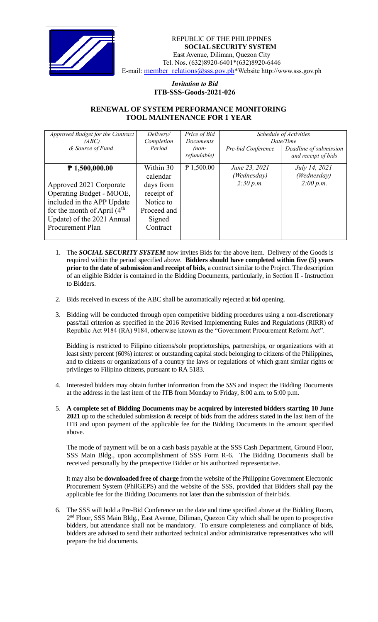

REPUBLIC OF THE PHILIPPINES **SOCIAL SECURITY SYSTEM** East Avenue, Diliman, Quezon City Tel. Nos. (632)8920-6401\*(632)8920-6446 E-mail: [member\\_relations@sss.gov.ph](mailto:member_relations@sss.gov.ph)\*Website http://www.sss.gov.ph

> *Invitation to Bid*  **ITB-SSS-Goods-2021-026**

## **RENEWAL OF SYSTEM PERFORMANCE MONITORING TOOL MAINTENANCE FOR 1 YEAR**

| Approved Budget for the Contract | Delivery/   | Price of Bid     | Schedule of Activities |                        |
|----------------------------------|-------------|------------------|------------------------|------------------------|
| (ABC)                            | Completion  | <b>Documents</b> | Date/Time              |                        |
| & Source of Fund                 | Period      | $(non-$          | Pre-bid Conference     | Deadline of submission |
|                                  |             | refundable)      |                        | and receipt of bids    |
| $P$ 1,500,000.00                 | Within 30   | $P$ 1,500.00     | June 23, 2021          | July 14, 2021          |
|                                  | calendar    |                  | (Wednesday)            | (Wednesday)            |
| Approved 2021 Corporate          | days from   |                  | 2:30 p.m.              | 2:00 p.m.              |
|                                  |             |                  |                        |                        |
| Operating Budget - MOOE,         | receipt of  |                  |                        |                        |
| included in the APP Update       | Notice to   |                  |                        |                        |
| for the month of April $(4th$    | Proceed and |                  |                        |                        |
| Update) of the 2021 Annual       | Signed      |                  |                        |                        |
| Procurement Plan                 | Contract    |                  |                        |                        |
|                                  |             |                  |                        |                        |

- 1. The *SOCIAL SECURITY SYSTEM* now invites Bids for the above item. Delivery of the Goods is required within the period specified above. **Bidders should have completed within five (5) years prior to the date of submission and receipt of bids**, a contract similar to the Project. The description of an eligible Bidder is contained in the Bidding Documents, particularly, in Section II - Instruction to Bidders.
- 2. Bids received in excess of the ABC shall be automatically rejected at bid opening.
- 3. Bidding will be conducted through open competitive bidding procedures using a non-discretionary pass/fail criterion as specified in the 2016 Revised Implementing Rules and Regulations (RIRR) of Republic Act 9184 (RA) 9184, otherwise known as the "Government Procurement Reform Act".

Bidding is restricted to Filipino citizens/sole proprietorships, partnerships, or organizations with at least sixty percent (60%) interest or outstanding capital stock belonging to citizens of the Philippines, and to citizens or organizations of a country the laws or regulations of which grant similar rights or privileges to Filipino citizens, pursuant to RA 5183.

- 4. Interested bidders may obtain further information from the *SSS* and inspect the Bidding Documents at the address in the last item of the ITB from Monday to Friday, 8:00 a.m. to 5:00 p.m.
- 5. **A complete set of Bidding Documents may be acquired by interested bidders starting 10 June 2021** up to the scheduled submission & receipt of bids from the address stated in the last item of the ITB and upon payment of the applicable fee for the Bidding Documents in the amount specified above.

The mode of payment will be on a cash basis payable at the SSS Cash Department, Ground Floor, SSS Main Bldg., upon accomplishment of SSS Form R-6. The Bidding Documents shall be received personally by the prospective Bidder or his authorized representative.

It may also be **downloaded free of charge** from the website of the Philippine Government Electronic Procurement System (PhilGEPS) and the website of the SSS*,* provided that Bidders shall pay the applicable fee for the Bidding Documents not later than the submission of their bids.

6. The SSS will hold a Pre-Bid Conference on the date and time specified above at the Bidding Room, 2<sup>nd</sup> Floor, SSS Main Bldg., East Avenue, Diliman, Quezon City which shall be open to prospective bidders, but attendance shall not be mandatory. To ensure completeness and compliance of bids, bidders are advised to send their authorized technical and/or administrative representatives who will prepare the bid documents.